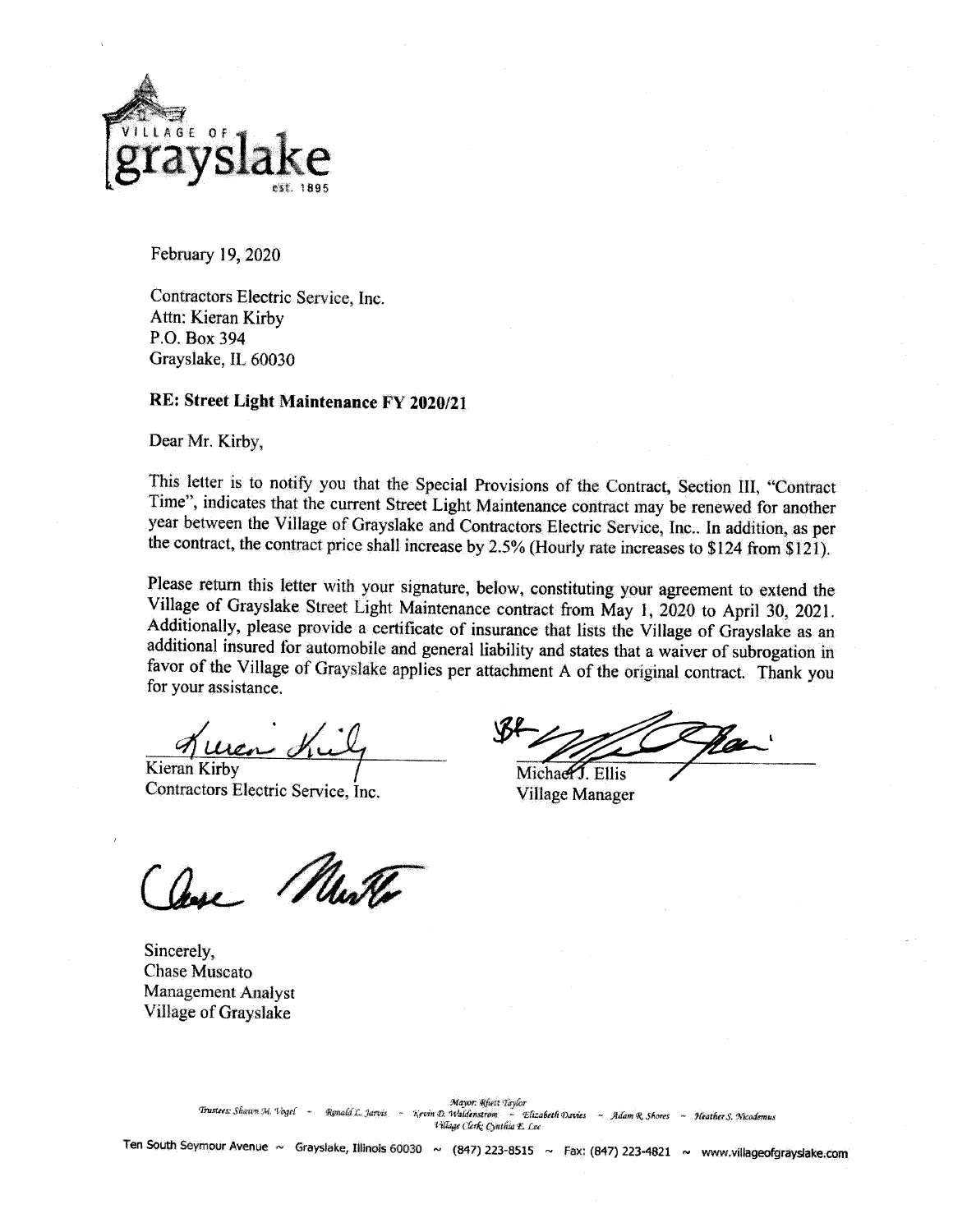

February 19, 2020

Contractors Electric Service, Inc. Attn: Kieran Kirby P.O. Box 394 Grayslake, IL 60030

# RE: Street Light Maintenance FY 2020/21

Dear Mr. Kirby,

This letter is to notify you that the Special Provisions of the Contract, Section III, "Contract Time", indicates that the current Street Light Maintenance contract may be renewed for another year between the Village of Grayslake and Contractors Electric Service, Inc.. In addition, as per the contract, the contract price shall increase by 2.5% (Hourly rate increases to \$124 from \$121).

Please return this letter with your signature, below, constituting your agreement to extend the Village of Grayslake Street Light Maintenance contract from May 1, 2020 to April 30, 2021. Additionally, please provide a certificate of insurance that lists the Village of Grayslake as an additional insured for automobile and general liability and states that a waiver of subrogation in favor of the Village of Grayslake applies per attachment A of the original contract. Thank you for your assistance.

Kieran Kirby

Contractors Electric Service, Inc.

Michael Filis

Village Manager

Mulla

Sincerely, Chase Muscato **Management Analyst** Village of Grayslake

Ten South Seymour Avenue ~ Grayslake, Illinois 60030 ~ (847) 223-8515 ~ Fax: (847) 223-4821 ~ www.villageofgrayslake.com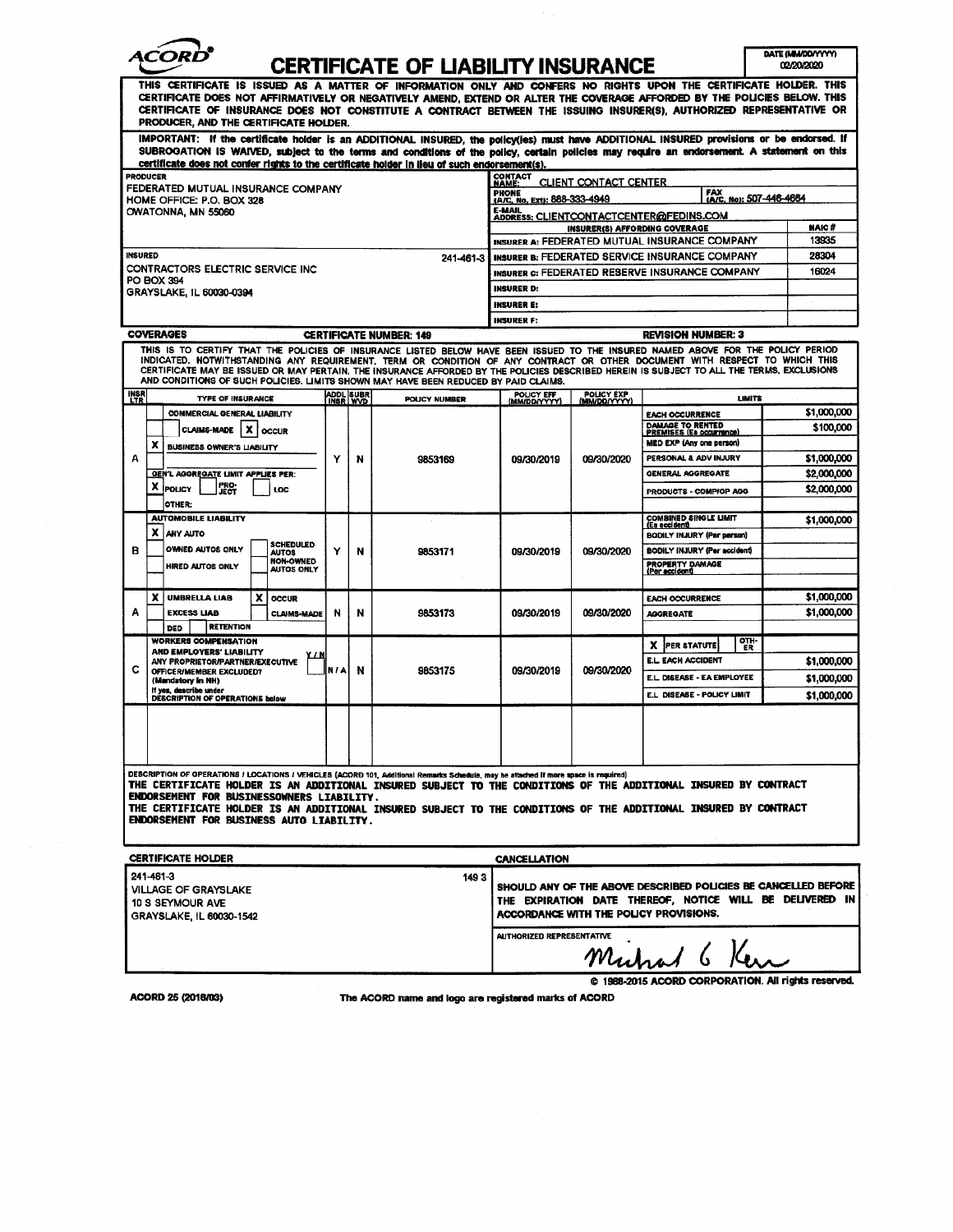

# CERTIFICATE OF HARILITY INSHRANCE

ł

| UERIIFIUATE UF LIADILII I INJURANUE<br>wazu curu<br>THIS CERTIFICATE IS ISSUED AS A MATTER OF INFORMATION ONLY AND CONFERS NO RIGHTS UPON THE CERTIFICATE HOLDER. THIS<br>CERTIFICATE DOES NOT AFFIRMATIVELY OR NEGATIVELY AMEND, EXTEND OR ALTER THE COVERAGE AFFORDED BY THE POLICIES BELOW. THIS<br>CERTIFICATE OF INSURANCE DOES NOT CONSTITUTE A CONTRACT BETWEEN THE ISSUING INSURER(S), AUTHORIZED REPRESENTATIVE OR<br>PRODUCER, AND THE CERTIFICATE HOLDER.                               |                                                                                                                              |   |                              |                      |                                                                                                                                                                      |                             |                                                                             |                            |  |
|----------------------------------------------------------------------------------------------------------------------------------------------------------------------------------------------------------------------------------------------------------------------------------------------------------------------------------------------------------------------------------------------------------------------------------------------------------------------------------------------------|------------------------------------------------------------------------------------------------------------------------------|---|------------------------------|----------------------|----------------------------------------------------------------------------------------------------------------------------------------------------------------------|-----------------------------|-----------------------------------------------------------------------------|----------------------------|--|
| IMPORTANT: If the certificate holder is an ADDITIONAL INSURED, the policy(ies) must have ADDITIONAL INSURED provisions or be endorsed. If<br>SUBROGATION IS WAIVED, subject to the terms and conditions of the policy, certain policies may require an endorsement. A statement on this<br>certificate does not confer rights to the certificate holder in lieu of such endorsement(s).                                                                                                            |                                                                                                                              |   |                              |                      |                                                                                                                                                                      |                             |                                                                             |                            |  |
| <b>PRODUCER</b><br>FEDERATED MUTUAL INSURANCE COMPANY                                                                                                                                                                                                                                                                                                                                                                                                                                              |                                                                                                                              |   |                              |                      | CONTACT<br>NAME:<br>CLIENT CONTACT CENTER<br>FAX<br>(A/C, No): 507-446-4664<br><b>PHONE</b>                                                                          |                             |                                                                             |                            |  |
| HOME OFFICE: P.O. BOX 328<br>OWATONNA, MN 55060                                                                                                                                                                                                                                                                                                                                                                                                                                                    |                                                                                                                              |   |                              |                      | (A/C, No. Ext): 888-333-4949<br>E-MAIL<br>ADDRESS: CLIENTCONTACTCENTER@FEDINS.COM                                                                                    |                             |                                                                             |                            |  |
|                                                                                                                                                                                                                                                                                                                                                                                                                                                                                                    |                                                                                                                              |   |                              |                      | INSURER(S) AFFORDING COVERAGE<br>INSURER A: FEDERATED MUTUAL INSURANCE COMPANY                                                                                       |                             |                                                                             | NAIC#<br>13935             |  |
| <b>INSURED</b><br>241-461-3                                                                                                                                                                                                                                                                                                                                                                                                                                                                        |                                                                                                                              |   |                              |                      | INSURER B: FEDERATED SERVICE INSURANCE COMPANY                                                                                                                       |                             |                                                                             | 28304                      |  |
| CONTRACTORS ELECTRIC SERVICE INC<br><b>PO BOX 394</b>                                                                                                                                                                                                                                                                                                                                                                                                                                              |                                                                                                                              |   |                              |                      | INSURER G: FEDERATED RESERVE INSURANCE COMPANY                                                                                                                       |                             |                                                                             | 16024                      |  |
| GRAYSLAKE, IL 60030-0394                                                                                                                                                                                                                                                                                                                                                                                                                                                                           |                                                                                                                              |   |                              |                      | <b>INSURER D:</b>                                                                                                                                                    |                             |                                                                             |                            |  |
|                                                                                                                                                                                                                                                                                                                                                                                                                                                                                                    |                                                                                                                              |   |                              |                      | <b>INSURER E:</b><br><b>INSURER F:</b>                                                                                                                               |                             |                                                                             |                            |  |
| <b>COVERAGES</b><br><b>CERTIFICATE NUMBER: 149</b>                                                                                                                                                                                                                                                                                                                                                                                                                                                 |                                                                                                                              |   |                              |                      | <b>REVISION NUMBER: 3</b>                                                                                                                                            |                             |                                                                             |                            |  |
| THIS IS TO CERTIFY THAT THE POLICIES OF INSURANCE LISTED BELOW HAVE BEEN ISSUED TO THE INSURED NAMED ABOVE FOR THE POLICY PERIOD<br>INDICATED. NOTWITHSTANDING ANY REQUIREMENT, TERM OR CONDITION OF ANY CONTRACT OR OTHER DOCUMENT WITH RESPECT TO WHICH THIS<br>CERTIFICATE MAY BE ISSUED OR MAY PERTAIN, THE INSURANCE AFFORDED BY THE POLICIES DESCRIBED HEREIN IS SUBJECT TO ALL THE TERMS, EXCLUSIONS<br>AND CONDITIONS OF SUCH POLICIES. LIMITS SHOWN MAY HAVE BEEN REDUCED BY PAID CLAIMS. |                                                                                                                              |   |                              |                      |                                                                                                                                                                      |                             |                                                                             |                            |  |
| <b>INSR</b>                                                                                                                                                                                                                                                                                                                                                                                                                                                                                        | <b>TYPE OF INSURANCE</b>                                                                                                     |   | <b>ADDL</b> SUBR<br>INSR WVD | <b>POLICY NUMBER</b> | POLICY EFF                                                                                                                                                           | POLICY EXP<br>(MIM/DD/YYYY) | LIMITS                                                                      |                            |  |
|                                                                                                                                                                                                                                                                                                                                                                                                                                                                                                    | <b>COMMERCIAL GENERAL LIABILITY</b><br>CLAIMS-MADE   X<br><b>OCCUR</b>                                                       |   |                              |                      |                                                                                                                                                                      |                             | <b>EACH OCCURRENCE</b><br>DAMAGE TO RENTED<br>PREMISES (Es occurrence)      | \$1,000,000<br>\$100,000   |  |
| А                                                                                                                                                                                                                                                                                                                                                                                                                                                                                                  | x<br><b>BUSINESS OWNER'S LIABILITY</b>                                                                                       |   |                              |                      |                                                                                                                                                                      |                             | MED EXP (Any one person)<br>PERSONAL & ADV INJURY                           |                            |  |
|                                                                                                                                                                                                                                                                                                                                                                                                                                                                                                    | GEN'L AGGREGATE LIMIT APPLIES PER:                                                                                           | Y | N                            | 9853169              | 09/30/2019                                                                                                                                                           | 09/30/2020                  | <b>GENERAL AGGREGATE</b>                                                    | \$1,000,000<br>\$2,000,000 |  |
|                                                                                                                                                                                                                                                                                                                                                                                                                                                                                                    | PRO-<br>JECT<br>X POLICY<br>LOC<br>OTHER:                                                                                    |   |                              |                      |                                                                                                                                                                      |                             | PRODUCTS - COMPIOP AGG                                                      | \$2,000,000                |  |
|                                                                                                                                                                                                                                                                                                                                                                                                                                                                                                    | <b>AUTOMOBILE LIABILITY</b><br>x<br><b>ANY AUTO</b>                                                                          |   |                              |                      |                                                                                                                                                                      |                             | <b>COMBINED SINGLE LIMIT</b><br>(Es accident)<br>BODILY INJURY (Par parson) | \$1,000,000                |  |
| в                                                                                                                                                                                                                                                                                                                                                                                                                                                                                                  | <b>SCHEDULED</b><br>OWNED AUTOS ONLY<br><b>AUTOS</b><br><b>NON-OWNED</b><br><b>HIRED AUTOS ONLY</b><br>AUTOS ONLY            | Y | N                            | 9853171              | 09/30/2019                                                                                                                                                           | 09/30/2020                  | BODILY INJURY (Per accident)<br><b>PROPERTY DAMAGE</b><br>(Per accident)    |                            |  |
| Α                                                                                                                                                                                                                                                                                                                                                                                                                                                                                                  | x<br>x<br><b>UMBRELLA LIAB</b><br><b>OCCUR</b><br><b>EXCESS LIAB</b><br><b>CLAIMS-MADE</b><br><b>RETENTION</b><br><b>DED</b> | N | N                            | 9853173              | 09/30/2019                                                                                                                                                           | 09/30/2020                  | <b>EACH OCCURRENCE</b><br><b>AGGREGATE</b>                                  | \$1,000,000<br>\$1,000,000 |  |
|                                                                                                                                                                                                                                                                                                                                                                                                                                                                                                    | <b>WORKERS COMPENSATION</b>                                                                                                  |   |                              |                      |                                                                                                                                                                      |                             | OTH-<br>X PER STATUTE<br>ΈŘ                                                 |                            |  |
|                                                                                                                                                                                                                                                                                                                                                                                                                                                                                                    | AND EMPLOYERS' LIABILITY<br>ANY PROPRIETOR/PARTNER/EXECUTIVE                                                                 |   |                              |                      |                                                                                                                                                                      |                             | <b>E.L. EACH ACCIDENT</b>                                                   | \$1,000,000                |  |
| с                                                                                                                                                                                                                                                                                                                                                                                                                                                                                                  | <b>OFFICER/MEMBER EXCLUDED?</b><br>(Mandatory in NH)                                                                         |   | NIAI<br>N                    | 9853175              | 09/30/2019                                                                                                                                                           | 09/30/2020                  | E.L. DISEASE - EA EMPLOYEE                                                  | \$1,000,000                |  |
|                                                                                                                                                                                                                                                                                                                                                                                                                                                                                                    | If yes, describe under<br>DESCRIPTION OF OPERATIONS below                                                                    |   |                              |                      |                                                                                                                                                                      |                             | E.L DISEASE - POLICY LIMIT                                                  | \$1,000,000                |  |
|                                                                                                                                                                                                                                                                                                                                                                                                                                                                                                    |                                                                                                                              |   |                              |                      |                                                                                                                                                                      |                             |                                                                             |                            |  |
| DESCRIPTION OF OPERATIONS / LOCATIONS / VEHICLES (ACORD 101, Additional Remarks Schedule, may be attached if more space is required)<br>THE CERTIFICATE HOLDER IS AN ADDITIONAL INSURED SUBJECT TO THE CONDITIONS OF THE ADDITIONAL INSURED BY CONTRACT<br>ENDORSEMENT FOR BUSINESSOWNERS LIABILITY.<br>THE CERTIFICATE HOLDER IS AN ADDITIONAL INSURED SUBJECT TO THE CONDITIONS OF THE ADDITIONAL INSURED BY CONTRACT<br>ENDORSEMENT FOR BUSINESS AUTO LIABILITY.                                |                                                                                                                              |   |                              |                      |                                                                                                                                                                      |                             |                                                                             |                            |  |
| <b>CERTIFICATE HOLDER</b>                                                                                                                                                                                                                                                                                                                                                                                                                                                                          |                                                                                                                              |   |                              |                      |                                                                                                                                                                      | <b>CANCELLATION</b>         |                                                                             |                            |  |
| 241-461-3<br>1493<br><b>VILLAGE OF GRAYSLAKE</b><br>10 S SEYMOUR AVE<br>GRAYSLAKE, IL 60030-1542                                                                                                                                                                                                                                                                                                                                                                                                   |                                                                                                                              |   |                              |                      | SHOULD ANY OF THE ABOVE DESCRIBED POLICIES BE CANCELLED BEFORE<br>THE EXPIRATION DATE THEREOF, NOTICE WILL BE DELIVERED IN<br>ACCORDANCE WITH THE POLICY PROVISIONS. |                             |                                                                             |                            |  |
|                                                                                                                                                                                                                                                                                                                                                                                                                                                                                                    |                                                                                                                              |   |                              |                      | <b>AUTHORIZED REPRESENTATIVE</b><br>@ 1988-2015 ACORD CORPORATION. All rights reserved.                                                                              |                             |                                                                             |                            |  |

ACORD 25 (2016/03)

The ACORD name and logo are registered marks of ACORD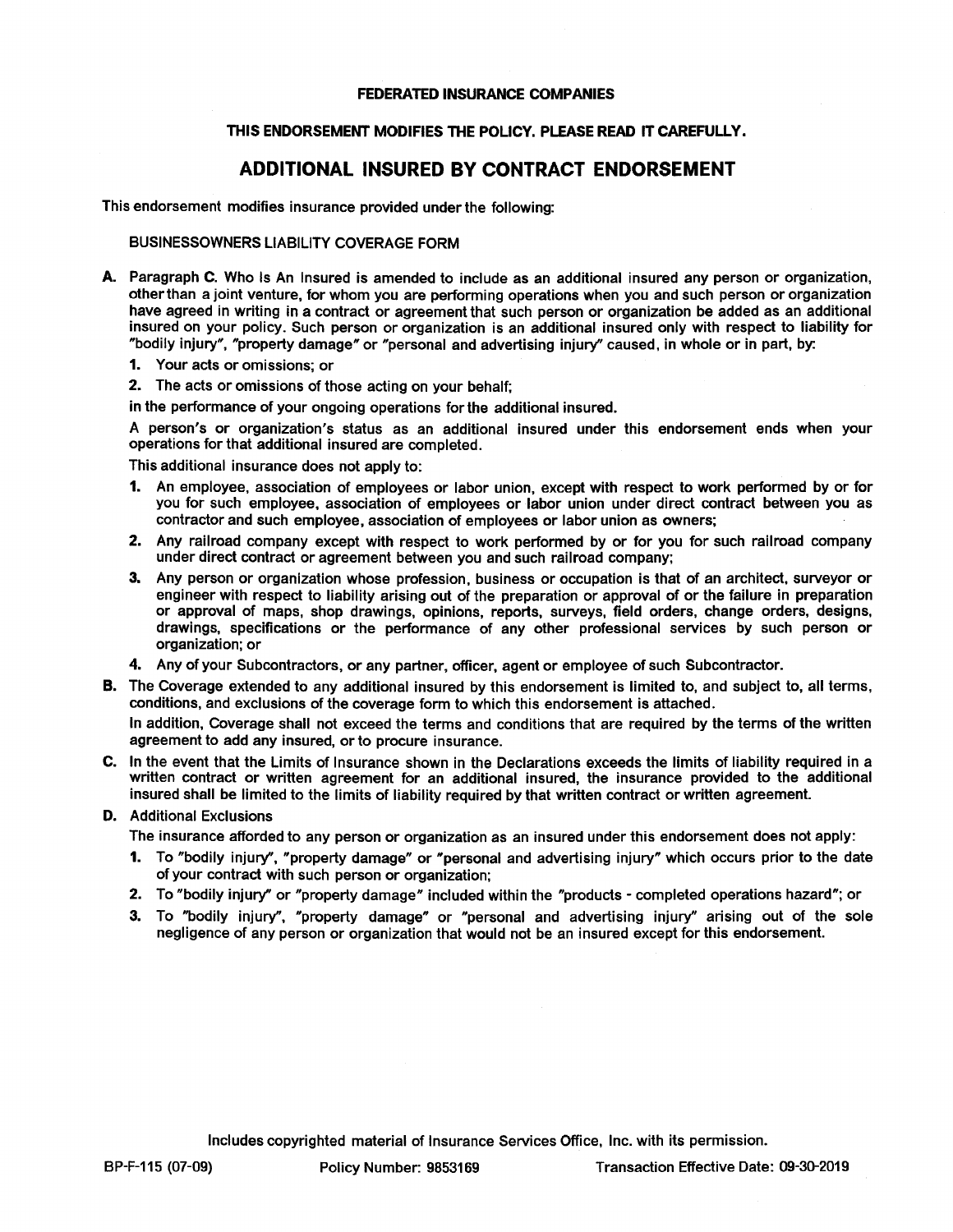#### FEDERATED INSURANCE COMPANIES

#### THIS ENDORSEMENT MODIFIES THE POLICY. PLEASE READ IT CAREFULLY.

## ADDITIONAL INSURED BY CONTRACT ENDORSEMENT

This endorsement modifies insurance provided under the following:

#### BUSINESSOWNERS LIABILITY COVERAGE FORM

- A. Paragraph C. Who Is An Insured is amended to include as an additional insured any person or organization, otherthan a joint venture, for whom you are pertorming operations when you and such person or organization have agreed in writing in a contract or agreement that such person or organization be added as an additional insured on your policy. Such person or organization is an additional insured only with respect to liability for "bodily injury", "property damage" or "personal and advertising injury" caused, in whole or in part, by:
	- 1. Your acts or omissions: or
	- 2. The acts or omissions of those acting on your behalf;
	- in the perFormance of your ongoing operations forthe additional insured.

A person's or organization's status as an additional insured under this endorsement ends when your operations for that additional insured are completed.

This additional insurance does not apply to:

- 1. An employee, association of employees or labor union, except with respect to work performed by or for you for such employee, association of employees or labor union under direct contract between you as contractor and such employee, association of employees or labor union as owners;
- 2. Any railroad company except with respect to work performed by or for you for such railroad company under direct contract or agreement between you and such railroad company;
- 3. Any person or organization whose profession, business or occupation is that of an architect, surveyor or engineer with respect to liability arising out of the preparation or approval of or the failure in preparation or approval of maps, shop drawings, opinions, reports, surveys, field orders, change orders, designs, drawings, specifications or the perFormance of any other professional services by such person or organization; or
- 4. Any of your Subcontractors, or any partner, officer, agent or employee of such Subcontractor.
- B. The Coverage extended to any additional insured by this endorsement is limited to, and subject to, all terms, conditions, and exclusions of the coverage form to which this endorsement is attached.

In addition, Coverage shall not exceed the terms and conditions that are required by the terms of the written agreement to add any insured, or to procure insurance.

C. In the event that the Limits of Insurance shown in the Declarations exceeds the limits of liability required in a written contract or written agreement for an additional insured, the insurance provided to the additional insured shall be limited to the limits of liability required by that written contract or written agreement.

#### D. Additional Exclusions

The insurance afforded to any person or organization as an insured under this endorsement does not apply:

- 1. To "bodily injury", "property damage" or "personal and advertising injury" which occurs prior to the date of your contract with such person or organization;
- 2. To "bodily injury" or "property damage" included within the "products completed operations hazard"; or
- 3. To "bodily injury", "property damage" or "personal and advertising injury" arising out of the sole negligence of any person or organization that would not be an insured except for this endorsement.